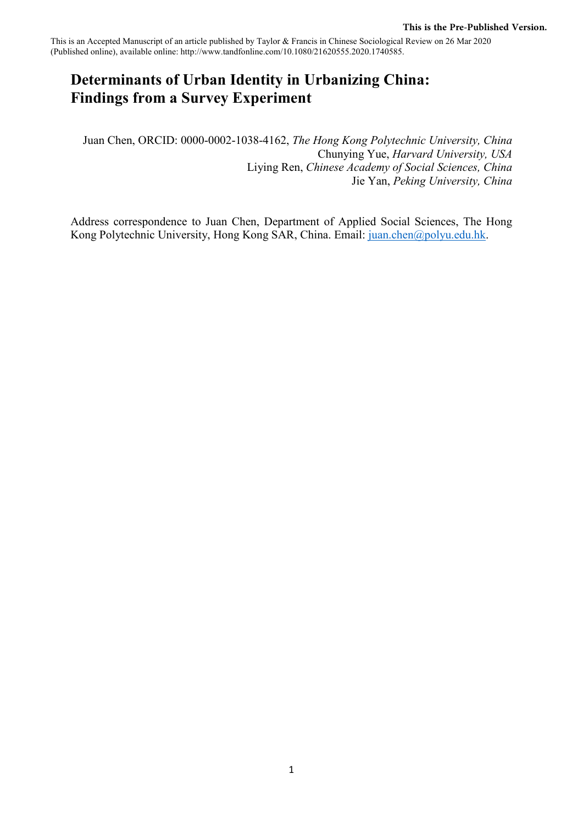This is an Accepted Manuscript of an article published by Taylor & Francis in Chinese Sociological Review on 26 Mar 2020 (Published online), available online: http://www.tandfonline.com/10.1080/21620555.2020.1740585.

# **Determinants of Urban Identity in Urbanizing China: Findings from a Survey Experiment**

Juan Chen, ORCID: 0000-0002-1038-4162, *The Hong Kong Polytechnic University, China* Chunying Yue, *Harvard University, USA*  Liying Ren, *Chinese Academy of Social Sciences, China*  Jie Yan, *Peking University, China* 

Address correspondence to Juan Chen, Department of Applied Social Sciences, The Hong Kong Polytechnic University, Hong Kong SAR, China. Email: [juan.chen@polyu.edu.hk.](mailto:juan.chen@polyu.edu.hk)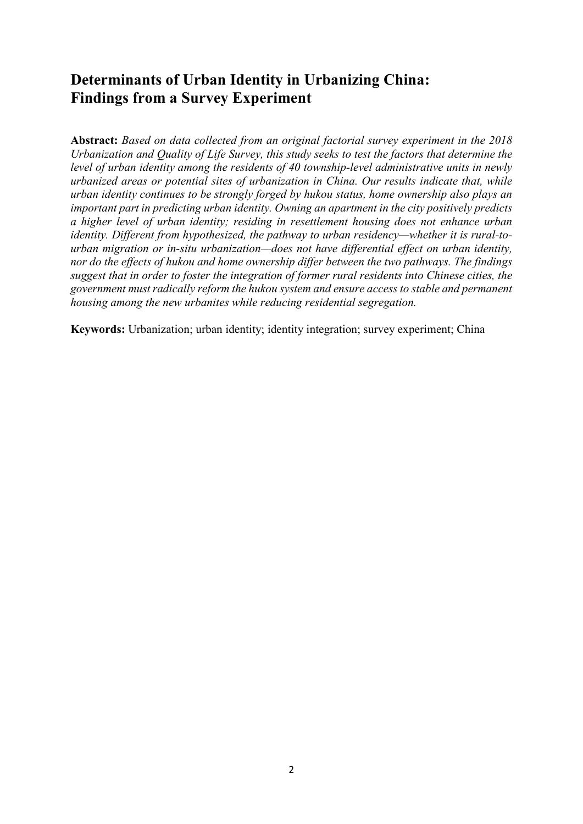# **Determinants of Urban Identity in Urbanizing China: Findings from a Survey Experiment**

**Abstract:** *Based on data collected from an original factorial survey experiment in the 2018 Urbanization and Quality of Life Survey, this study seeks to test the factors that determine the level of urban identity among the residents of 40 township-level administrative units in newly urbanized areas or potential sites of urbanization in China. Our results indicate that, while urban identity continues to be strongly forged by hukou status, home ownership also plays an important part in predicting urban identity. Owning an apartment in the city positively predicts a higher level of urban identity; residing in resettlement housing does not enhance urban identity. Different from hypothesized, the pathway to urban residency—whether it is rural-tourban migration or in-situ urbanization—does not have differential effect on urban identity, nor do the effects of hukou and home ownership differ between the two pathways. The findings suggest that in order to foster the integration of former rural residents into Chinese cities, the government must radically reform the hukou system and ensure access to stable and permanent housing among the new urbanites while reducing residential segregation.*

**Keywords:** Urbanization; urban identity; identity integration; survey experiment; China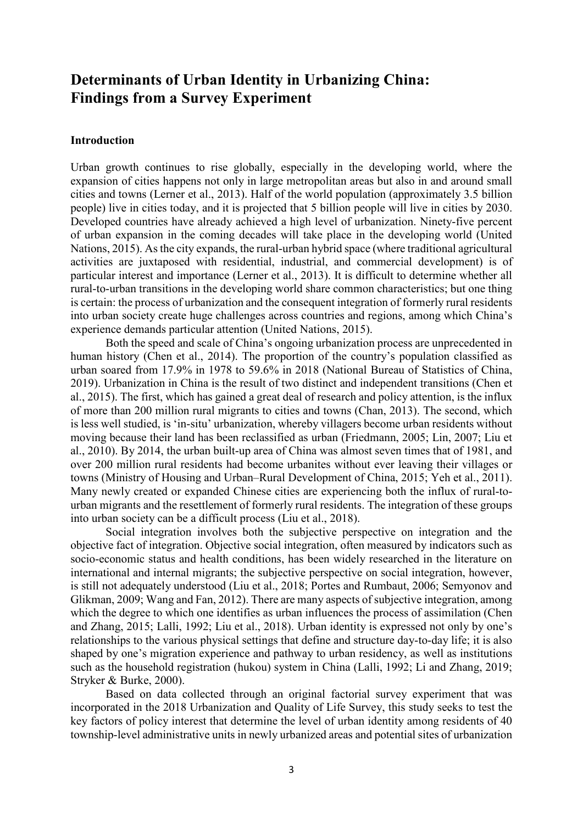# **Determinants of Urban Identity in Urbanizing China: Findings from a Survey Experiment**

## **Introduction**

Urban growth continues to rise globally, especially in the developing world, where the expansion of cities happens not only in large metropolitan areas but also in and around small cities and towns (Lerner et al., 2013). Half of the world population (approximately 3.5 billion people) live in cities today, and it is projected that 5 billion people will live in cities by 2030. Developed countries have already achieved a high level of urbanization. Ninety-five percent of urban expansion in the coming decades will take place in the developing world (United Nations, 2015). As the city expands, the rural-urban hybrid space (where traditional agricultural activities are juxtaposed with residential, industrial, and commercial development) is of particular interest and importance (Lerner et al., 2013). It is difficult to determine whether all rural-to-urban transitions in the developing world share common characteristics; but one thing is certain: the process of urbanization and the consequent integration of formerly rural residents into urban society create huge challenges across countries and regions, among which China's experience demands particular attention (United Nations, 2015).

Both the speed and scale of China's ongoing urbanization process are unprecedented in human history (Chen et al., 2014). The proportion of the country's population classified as urban soared from 17.9% in 1978 to 59.6% in 2018 (National Bureau of Statistics of China, 2019). Urbanization in China is the result of two distinct and independent transitions (Chen et al., 2015). The first, which has gained a great deal of research and policy attention, is the influx of more than 200 million rural migrants to cities and towns (Chan, 2013). The second, which is less well studied, is 'in-situ' urbanization, whereby villagers become urban residents without moving because their land has been reclassified as urban (Friedmann, 2005; Lin, 2007; Liu et al., 2010). By 2014, the urban built-up area of China was almost seven times that of 1981, and over 200 million rural residents had become urbanites without ever leaving their villages or towns (Ministry of Housing and Urban–Rural Development of China, 2015; Yeh et al., 2011). Many newly created or expanded Chinese cities are experiencing both the influx of rural-tourban migrants and the resettlement of formerly rural residents. The integration of these groups into urban society can be a difficult process (Liu et al., 2018).

Social integration involves both the subjective perspective on integration and the objective fact of integration. Objective social integration, often measured by indicators such as socio-economic status and health conditions, has been widely researched in the literature on international and internal migrants; the subjective perspective on social integration, however, is still not adequately understood (Liu et al., 2018; Portes and Rumbaut, 2006; Semyonov and Glikman, 2009; Wang and Fan, 2012). There are many aspects of subjective integration, among which the degree to which one identifies as urban influences the process of assimilation (Chen and Zhang, 2015; Lalli, 1992; Liu et al., 2018). Urban identity is expressed not only by one's relationships to the various physical settings that define and structure day-to-day life; it is also shaped by one's migration experience and pathway to urban residency, as well as institutions such as the household registration (hukou) system in China (Lalli, 1992; Li and Zhang, 2019; Stryker & Burke, 2000).

Based on data collected through an original factorial survey experiment that was incorporated in the 2018 Urbanization and Quality of Life Survey, this study seeks to test the key factors of policy interest that determine the level of urban identity among residents of 40 township-level administrative units in newly urbanized areas and potential sites of urbanization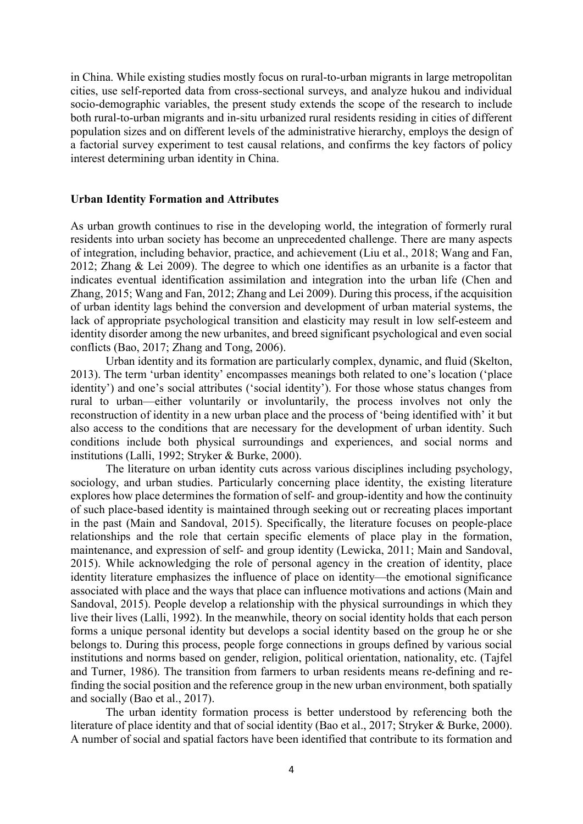in China. While existing studies mostly focus on rural-to-urban migrants in large metropolitan cities, use self-reported data from cross-sectional surveys, and analyze hukou and individual socio-demographic variables, the present study extends the scope of the research to include both rural-to-urban migrants and in-situ urbanized rural residents residing in cities of different population sizes and on different levels of the administrative hierarchy, employs the design of a factorial survey experiment to test causal relations, and confirms the key factors of policy interest determining urban identity in China.

## **Urban Identity Formation and Attributes**

As urban growth continues to rise in the developing world, the integration of formerly rural residents into urban society has become an unprecedented challenge. There are many aspects of integration, including behavior, practice, and achievement (Liu et al., 2018; Wang and Fan, 2012; Zhang & Lei 2009). The degree to which one identifies as an urbanite is a factor that indicates eventual identification assimilation and integration into the urban life (Chen and Zhang, 2015; Wang and Fan, 2012; Zhang and Lei 2009). During this process, if the acquisition of urban identity lags behind the conversion and development of urban material systems, the lack of appropriate psychological transition and elasticity may result in low self-esteem and identity disorder among the new urbanites, and breed significant psychological and even social conflicts (Bao, 2017; Zhang and Tong, 2006).

Urban identity and its formation are particularly complex, dynamic, and fluid (Skelton, 2013). The term 'urban identity' encompasses meanings both related to one's location ('place identity') and one's social attributes ('social identity'). For those whose status changes from rural to urban—either voluntarily or involuntarily, the process involves not only the reconstruction of identity in a new urban place and the process of 'being identified with' it but also access to the conditions that are necessary for the development of urban identity. Such conditions include both physical surroundings and experiences, and social norms and institutions (Lalli, 1992; Stryker & Burke, 2000).

The literature on urban identity cuts across various disciplines including psychology, sociology, and urban studies. Particularly concerning place identity, the existing literature explores how place determines the formation of self- and group-identity and how the continuity of such place-based identity is maintained through seeking out or recreating places important in the past (Main and Sandoval, 2015). Specifically, the literature focuses on people-place relationships and the role that certain specific elements of place play in the formation, maintenance, and expression of self- and group identity (Lewicka, 2011; Main and Sandoval, 2015). While acknowledging the role of personal agency in the creation of identity, place identity literature emphasizes the influence of place on identity—the emotional significance associated with place and the ways that place can influence motivations and actions (Main and Sandoval, 2015). People develop a relationship with the physical surroundings in which they live their lives (Lalli, 1992). In the meanwhile, theory on social identity holds that each person forms a unique personal identity but develops a social identity based on the group he or she belongs to. During this process, people forge connections in groups defined by various social institutions and norms based on gender, religion, political orientation, nationality, etc. (Tajfel and Turner, 1986). The transition from farmers to urban residents means re-defining and refinding the social position and the reference group in the new urban environment, both spatially and socially (Bao et al., 2017).

The urban identity formation process is better understood by referencing both the literature of place identity and that of social identity (Bao et al., 2017; Stryker & Burke, 2000). A number of social and spatial factors have been identified that contribute to its formation and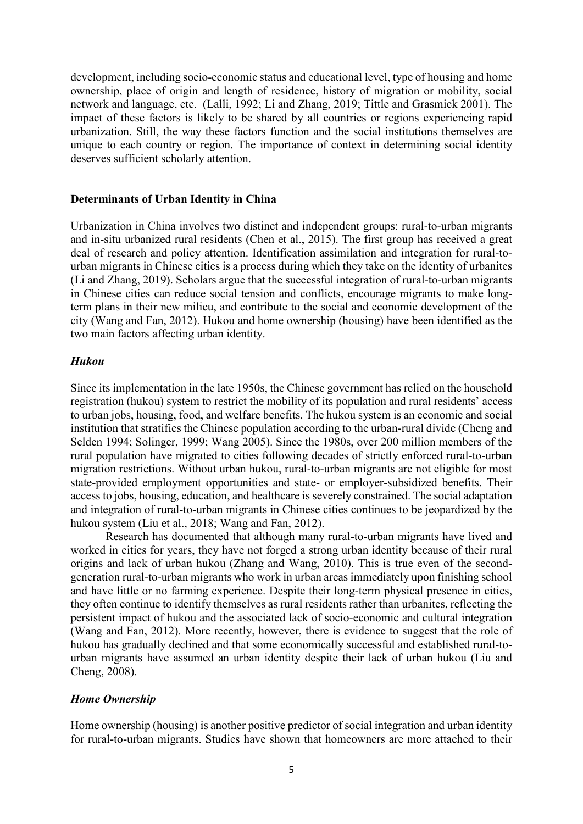development, including socio-economic status and educational level, type of housing and home ownership, place of origin and length of residence, history of migration or mobility, social network and language, etc. (Lalli, 1992; Li and Zhang, 2019; Tittle and Grasmick 2001). The impact of these factors is likely to be shared by all countries or regions experiencing rapid urbanization. Still, the way these factors function and the social institutions themselves are unique to each country or region. The importance of context in determining social identity deserves sufficient scholarly attention.

### **Determinants of Urban Identity in China**

Urbanization in China involves two distinct and independent groups: rural-to-urban migrants and in-situ urbanized rural residents (Chen et al., 2015). The first group has received a great deal of research and policy attention. Identification assimilation and integration for rural-tourban migrants in Chinese cities is a process during which they take on the identity of urbanites (Li and Zhang, 2019). Scholars argue that the successful integration of rural-to-urban migrants in Chinese cities can reduce social tension and conflicts, encourage migrants to make longterm plans in their new milieu, and contribute to the social and economic development of the city (Wang and Fan, 2012). Hukou and home ownership (housing) have been identified as the two main factors affecting urban identity.

## *Hukou*

Since its implementation in the late 1950s, the Chinese government has relied on the household registration (hukou) system to restrict the mobility of its population and rural residents' access to urban jobs, housing, food, and welfare benefits. The hukou system is an economic and social institution that stratifies the Chinese population according to the urban-rural divide (Cheng and Selden 1994; Solinger, 1999; Wang 2005). Since the 1980s, over 200 million members of the rural population have migrated to cities following decades of strictly enforced rural-to-urban migration restrictions. Without urban hukou, rural-to-urban migrants are not eligible for most state-provided employment opportunities and state- or employer-subsidized benefits. Their access to jobs, housing, education, and healthcare is severely constrained. The social adaptation and integration of rural-to-urban migrants in Chinese cities continues to be jeopardized by the hukou system (Liu et al., 2018; Wang and Fan, 2012).

Research has documented that although many rural-to-urban migrants have lived and worked in cities for years, they have not forged a strong urban identity because of their rural origins and lack of urban hukou (Zhang and Wang, 2010). This is true even of the secondgeneration rural-to-urban migrants who work in urban areas immediately upon finishing school and have little or no farming experience. Despite their long-term physical presence in cities, they often continue to identify themselves as rural residents rather than urbanites, reflecting the persistent impact of hukou and the associated lack of socio-economic and cultural integration (Wang and Fan, 2012). More recently, however, there is evidence to suggest that the role of hukou has gradually declined and that some economically successful and established rural-tourban migrants have assumed an urban identity despite their lack of urban hukou (Liu and Cheng, 2008).

## *Home Ownership*

Home ownership (housing) is another positive predictor of social integration and urban identity for rural-to-urban migrants. Studies have shown that homeowners are more attached to their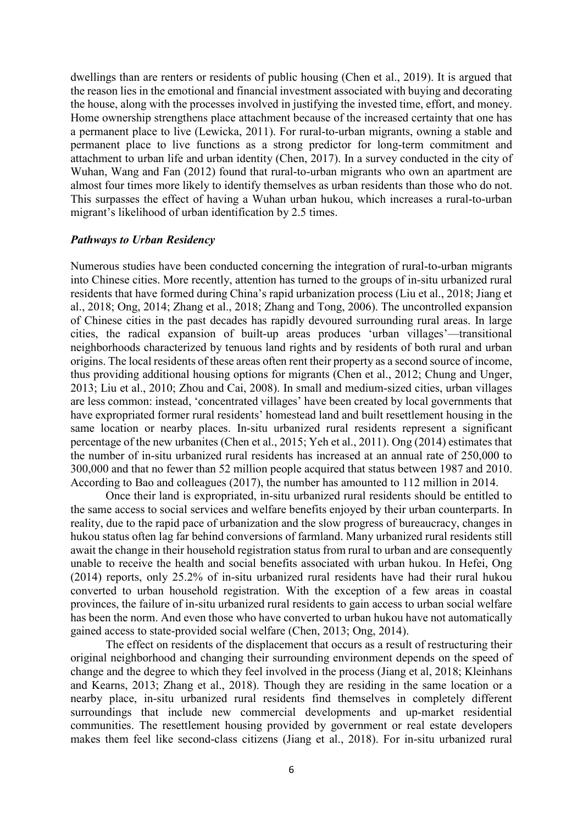dwellings than are renters or residents of public housing (Chen et al., 2019). It is argued that the reason lies in the emotional and financial investment associated with buying and decorating the house, along with the processes involved in justifying the invested time, effort, and money. Home ownership strengthens place attachment because of the increased certainty that one has a permanent place to live (Lewicka, 2011). For rural-to-urban migrants, owning a stable and permanent place to live functions as a strong predictor for long-term commitment and attachment to urban life and urban identity (Chen, 2017). In a survey conducted in the city of Wuhan, Wang and Fan (2012) found that rural-to-urban migrants who own an apartment are almost four times more likely to identify themselves as urban residents than those who do not. This surpasses the effect of having a Wuhan urban hukou, which increases a rural-to-urban migrant's likelihood of urban identification by 2.5 times.

#### *Pathways to Urban Residency*

Numerous studies have been conducted concerning the integration of rural-to-urban migrants into Chinese cities. More recently, attention has turned to the groups of in-situ urbanized rural residents that have formed during China's rapid urbanization process (Liu et al., 2018; Jiang et al., 2018; Ong, 2014; Zhang et al., 2018; Zhang and Tong, 2006). The uncontrolled expansion of Chinese cities in the past decades has rapidly devoured surrounding rural areas. In large cities, the radical expansion of built-up areas produces 'urban villages'—transitional neighborhoods characterized by tenuous land rights and by residents of both rural and urban origins. The local residents of these areas often rent their property as a second source of income, thus providing additional housing options for migrants (Chen et al., 2012; Chung and Unger, 2013; Liu et al., 2010; Zhou and Cai, 2008). In small and medium-sized cities, urban villages are less common: instead, 'concentrated villages' have been created by local governments that have expropriated former rural residents' homestead land and built resettlement housing in the same location or nearby places. In-situ urbanized rural residents represent a significant percentage of the new urbanites (Chen et al., 2015; Yeh et al., 2011). Ong (2014) estimates that the number of in-situ urbanized rural residents has increased at an annual rate of 250,000 to 300,000 and that no fewer than 52 million people acquired that status between 1987 and 2010. According to Bao and colleagues (2017), the number has amounted to 112 million in 2014.

Once their land is expropriated, in-situ urbanized rural residents should be entitled to the same access to social services and welfare benefits enjoyed by their urban counterparts. In reality, due to the rapid pace of urbanization and the slow progress of bureaucracy, changes in hukou status often lag far behind conversions of farmland. Many urbanized rural residents still await the change in their household registration status from rural to urban and are consequently unable to receive the health and social benefits associated with urban hukou. In Hefei, Ong (2014) reports, only 25.2% of in-situ urbanized rural residents have had their rural hukou converted to urban household registration. With the exception of a few areas in coastal provinces, the failure of in-situ urbanized rural residents to gain access to urban social welfare has been the norm. And even those who have converted to urban hukou have not automatically gained access to state-provided social welfare (Chen, 2013; Ong, 2014).

The effect on residents of the displacement that occurs as a result of restructuring their original neighborhood and changing their surrounding environment depends on the speed of change and the degree to which they feel involved in the process (Jiang et al, 2018; Kleinhans and Kearns, 2013; Zhang et al., 2018). Though they are residing in the same location or a nearby place, in-situ urbanized rural residents find themselves in completely different surroundings that include new commercial developments and up-market residential communities. The resettlement housing provided by government or real estate developers makes them feel like second-class citizens (Jiang et al., 2018). For in-situ urbanized rural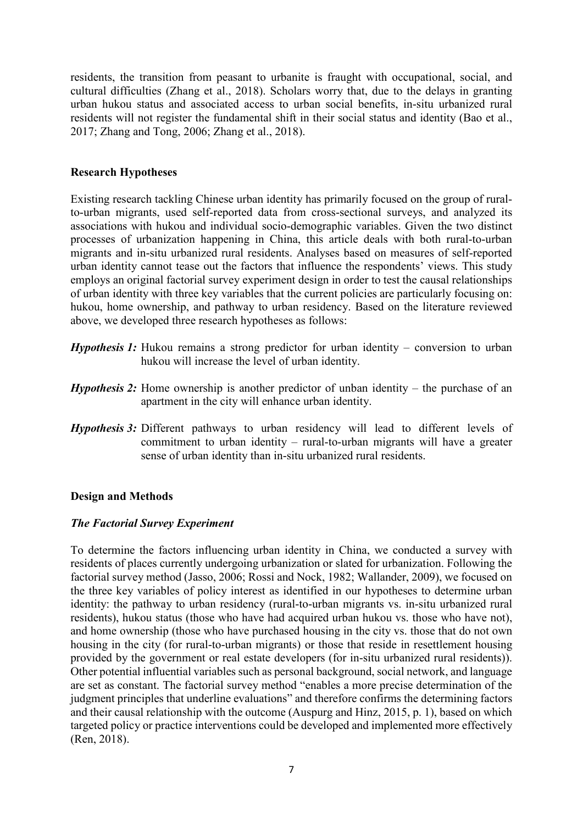residents, the transition from peasant to urbanite is fraught with occupational, social, and cultural difficulties (Zhang et al., 2018). Scholars worry that, due to the delays in granting urban hukou status and associated access to urban social benefits, in-situ urbanized rural residents will not register the fundamental shift in their social status and identity (Bao et al., 2017; Zhang and Tong, 2006; Zhang et al., 2018).

# **Research Hypotheses**

Existing research tackling Chinese urban identity has primarily focused on the group of ruralto-urban migrants, used self-reported data from cross-sectional surveys, and analyzed its associations with hukou and individual socio-demographic variables. Given the two distinct processes of urbanization happening in China, this article deals with both rural-to-urban migrants and in-situ urbanized rural residents. Analyses based on measures of self-reported urban identity cannot tease out the factors that influence the respondents' views. This study employs an original factorial survey experiment design in order to test the causal relationships of urban identity with three key variables that the current policies are particularly focusing on: hukou, home ownership, and pathway to urban residency. Based on the literature reviewed above, we developed three research hypotheses as follows:

- *Hypothesis 1:* Hukou remains a strong predictor for urban identity conversion to urban hukou will increase the level of urban identity.
- *Hypothesis 2:* Home ownership is another predictor of unban identity the purchase of an apartment in the city will enhance urban identity.
- *Hypothesis 3: Different pathways to urban residency will lead to different levels of* commitment to urban identity – rural-to-urban migrants will have a greater sense of urban identity than in-situ urbanized rural residents.

# **Design and Methods**

# *The Factorial Survey Experiment*

To determine the factors influencing urban identity in China, we conducted a survey with residents of places currently undergoing urbanization or slated for urbanization. Following the factorial survey method (Jasso, 2006; Rossi and Nock, 1982; Wallander, 2009), we focused on the three key variables of policy interest as identified in our hypotheses to determine urban identity: the pathway to urban residency (rural-to-urban migrants vs. in-situ urbanized rural residents), hukou status (those who have had acquired urban hukou vs. those who have not), and home ownership (those who have purchased housing in the city vs. those that do not own housing in the city (for rural-to-urban migrants) or those that reside in resettlement housing provided by the government or real estate developers (for in-situ urbanized rural residents)). Other potential influential variables such as personal background, social network, and language are set as constant. The factorial survey method "enables a more precise determination of the judgment principles that underline evaluations" and therefore confirms the determining factors and their causal relationship with the outcome (Auspurg and Hinz, 2015, p. 1), based on which targeted policy or practice interventions could be developed and implemented more effectively (Ren, 2018).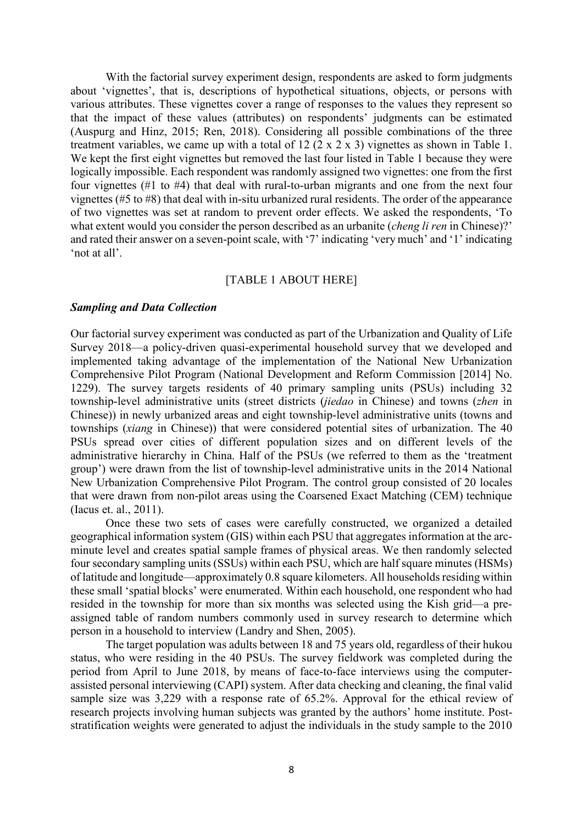With the factorial survey experiment design, respondents are asked to form judgments about 'vignettes', that is, descriptions of hypothetical situations, objects, or persons with various attributes. These vignettes cover a range of responses to the values they represent so that the impact of these values (attributes) on respondents' judgments can be estimated (Auspurg and Hinz, 2015; Ren, 2018). Considering all possible combinations of the three treatment variables, we came up with a total of 12 (2 x 2 x 3) vignettes as shown in Table 1. We kept the first eight vignettes but removed the last four listed in Table 1 because they were logically impossible. Each respondent was randomly assigned two vignettes: one from the first four vignettes (#1 to #4) that deal with rural-to-urban migrants and one from the next four vignettes (#5 to #8) that deal with in-situ urbanized rural residents. The order of the appearance of two vignettes was set at random to prevent order effects. We asked the respondents, 'To what extent would you consider the person described as an urbanite (*cheng li ren* in Chinese)?' and rated their answer on a seven-point scale, with '7' indicating 'very much' and '1' indicating 'not at all'.

## [TABLE 1 ABOUT HERE]

#### *Sampling and Data Collection*

Our factorial survey experiment was conducted as part of the Urbanization and Quality of Life Survey 2018—a policy-driven quasi-experimental household survey that we developed and implemented taking advantage of the implementation of the National New Urbanization Comprehensive Pilot Program (National Development and Reform Commission [2014] No. 1229). The survey targets residents of 40 primary sampling units (PSUs) including 32 township-level administrative units (street districts (*jiedao* in Chinese) and towns (*zhen* in Chinese)) in newly urbanized areas and eight township-level administrative units (towns and townships (*xiang* in Chinese)) that were considered potential sites of urbanization. The 40 PSUs spread over cities of different population sizes and on different levels of the administrative hierarchy in China. Half of the PSUs (we referred to them as the 'treatment group') were drawn from the list of township-level administrative units in the 2014 National New Urbanization Comprehensive Pilot Program. The control group consisted of 20 locales that were drawn from non-pilot areas using the Coarsened Exact Matching (CEM) technique (Iacus et. al., 2011).

Once these two sets of cases were carefully constructed, we organized a detailed geographical information system (GIS) within each PSU that aggregates information at the arcminute level and creates spatial sample frames of physical areas. We then randomly selected four secondary sampling units (SSUs) within each PSU, which are half square minutes (HSMs) of latitude and longitude—approximately 0.8 square kilometers. All households residing within these small 'spatial blocks' were enumerated. Within each household, one respondent who had resided in the township for more than six months was selected using the Kish grid—a preassigned table of random numbers commonly used in survey research to determine which person in a household to interview (Landry and Shen, 2005).

The target population was adults between 18 and 75 years old, regardless of their hukou status, who were residing in the 40 PSUs. The survey fieldwork was completed during the period from April to June 2018, by means of face-to-face interviews using the computerassisted personal interviewing (CAPI) system. After data checking and cleaning, the final valid sample size was 3,229 with a response rate of 65.2%. Approval for the ethical review of research projects involving human subjects was granted by the authors' home institute. Poststratification weights were generated to adjust the individuals in the study sample to the 2010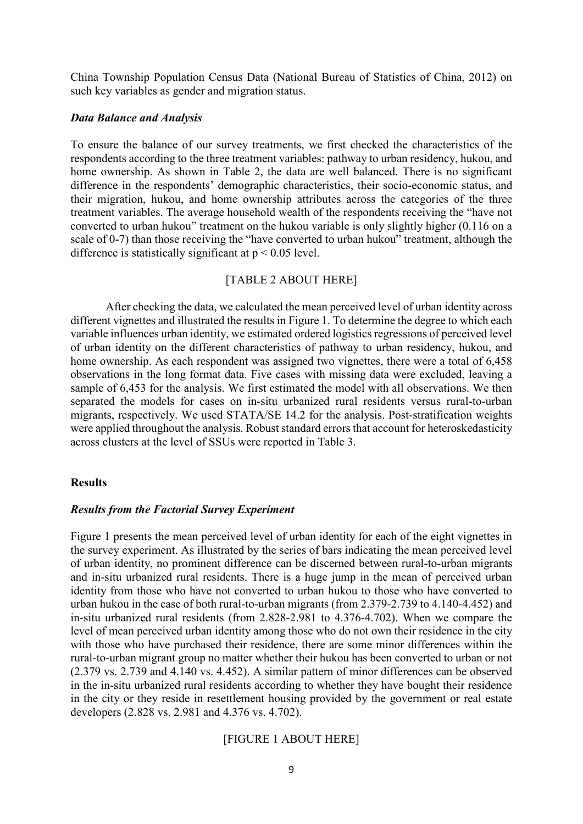China Township Population Census Data (National Bureau of Statistics of China, 2012) on such key variables as gender and migration status.

#### *Data Balance and Analysis*

To ensure the balance of our survey treatments, we first checked the characteristics of the respondents according to the three treatment variables: pathway to urban residency, hukou, and home ownership. As shown in Table 2, the data are well balanced. There is no significant difference in the respondents' demographic characteristics, their socio-economic status, and their migration, hukou, and home ownership attributes across the categories of the three treatment variables. The average household wealth of the respondents receiving the "have not converted to urban hukou" treatment on the hukou variable is only slightly higher (0.116 on a scale of 0-7) than those receiving the "have converted to urban hukou" treatment, although the difference is statistically significant at  $p < 0.05$  level.

## [TABLE 2 ABOUT HERE]

After checking the data, we calculated the mean perceived level of urban identity across different vignettes and illustrated the results in Figure 1. To determine the degree to which each variable influences urban identity, we estimated ordered logistics regressions of perceived level of urban identity on the different characteristics of pathway to urban residency, hukou, and home ownership. As each respondent was assigned two vignettes, there were a total of 6,458 observations in the long format data. Five cases with missing data were excluded, leaving a sample of 6,453 for the analysis. We first estimated the model with all observations. We then separated the models for cases on in-situ urbanized rural residents versus rural-to-urban migrants, respectively. We used STATA/SE 14.2 for the analysis. Post-stratification weights were applied throughout the analysis. Robust standard errors that account for heteroskedasticity across clusters at the level of SSUs were reported in Table 3.

#### **Results**

#### *Results from the Factorial Survey Experiment*

Figure 1 presents the mean perceived level of urban identity for each of the eight vignettes in the survey experiment. As illustrated by the series of bars indicating the mean perceived level of urban identity, no prominent difference can be discerned between rural-to-urban migrants and in-situ urbanized rural residents. There is a huge jump in the mean of perceived urban identity from those who have not converted to urban hukou to those who have converted to urban hukou in the case of both rural-to-urban migrants (from 2.379-2.739 to 4.140-4.452) and in-situ urbanized rural residents (from 2.828-2.981 to 4.376-4.702). When we compare the level of mean perceived urban identity among those who do not own their residence in the city with those who have purchased their residence, there are some minor differences within the rural-to-urban migrant group no matter whether their hukou has been converted to urban or not (2.379 vs. 2.739 and 4.140 vs. 4.452). A similar pattern of minor differences can be observed in the in-situ urbanized rural residents according to whether they have bought their residence in the city or they reside in resettlement housing provided by the government or real estate developers (2.828 vs. 2.981 and 4.376 vs. 4.702).

## [FIGURE 1 ABOUT HERE]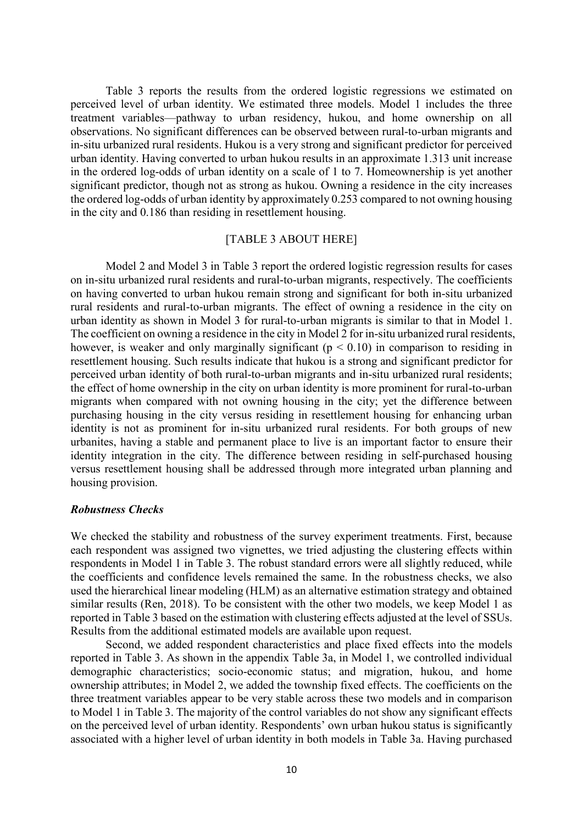Table 3 reports the results from the ordered logistic regressions we estimated on perceived level of urban identity. We estimated three models. Model 1 includes the three treatment variables—pathway to urban residency, hukou, and home ownership on all observations. No significant differences can be observed between rural-to-urban migrants and in-situ urbanized rural residents. Hukou is a very strong and significant predictor for perceived urban identity. Having converted to urban hukou results in an approximate 1.313 unit increase in the ordered log-odds of urban identity on a scale of 1 to 7. Homeownership is yet another significant predictor, though not as strong as hukou. Owning a residence in the city increases the ordered log-odds of urban identity by approximately 0.253 compared to not owning housing in the city and 0.186 than residing in resettlement housing.

## [TABLE 3 ABOUT HERE]

Model 2 and Model 3 in Table 3 report the ordered logistic regression results for cases on in-situ urbanized rural residents and rural-to-urban migrants, respectively. The coefficients on having converted to urban hukou remain strong and significant for both in-situ urbanized rural residents and rural-to-urban migrants. The effect of owning a residence in the city on urban identity as shown in Model 3 for rural-to-urban migrants is similar to that in Model 1. The coefficient on owning a residence in the city in Model 2 for in-situ urbanized rural residents, however, is weaker and only marginally significant ( $p < 0.10$ ) in comparison to residing in resettlement housing. Such results indicate that hukou is a strong and significant predictor for perceived urban identity of both rural-to-urban migrants and in-situ urbanized rural residents; the effect of home ownership in the city on urban identity is more prominent for rural-to-urban migrants when compared with not owning housing in the city; yet the difference between purchasing housing in the city versus residing in resettlement housing for enhancing urban identity is not as prominent for in-situ urbanized rural residents. For both groups of new urbanites, having a stable and permanent place to live is an important factor to ensure their identity integration in the city. The difference between residing in self-purchased housing versus resettlement housing shall be addressed through more integrated urban planning and housing provision.

## *Robustness Checks*

We checked the stability and robustness of the survey experiment treatments. First, because each respondent was assigned two vignettes, we tried adjusting the clustering effects within respondents in Model 1 in Table 3. The robust standard errors were all slightly reduced, while the coefficients and confidence levels remained the same. In the robustness checks, we also used the hierarchical linear modeling (HLM) as an alternative estimation strategy and obtained similar results (Ren, 2018). To be consistent with the other two models, we keep Model 1 as reported in Table 3 based on the estimation with clustering effects adjusted at the level of SSUs. Results from the additional estimated models are available upon request.

Second, we added respondent characteristics and place fixed effects into the models reported in Table 3. As shown in the appendix Table 3a, in Model 1, we controlled individual demographic characteristics; socio-economic status; and migration, hukou, and home ownership attributes; in Model 2, we added the township fixed effects. The coefficients on the three treatment variables appear to be very stable across these two models and in comparison to Model 1 in Table 3. The majority of the control variables do not show any significant effects on the perceived level of urban identity. Respondents' own urban hukou status is significantly associated with a higher level of urban identity in both models in Table 3a. Having purchased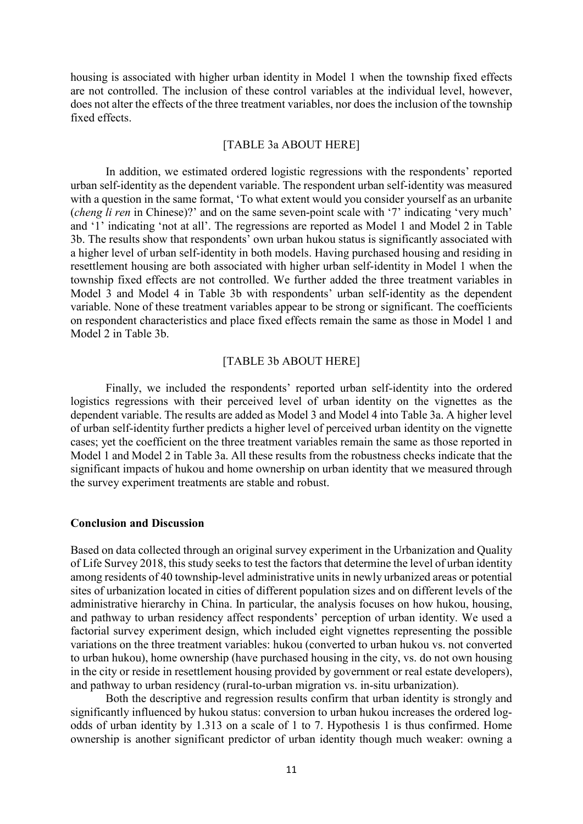housing is associated with higher urban identity in Model 1 when the township fixed effects are not controlled. The inclusion of these control variables at the individual level, however, does not alter the effects of the three treatment variables, nor does the inclusion of the township fixed effects.

## [TABLE 3a ABOUT HERE]

In addition, we estimated ordered logistic regressions with the respondents' reported urban self-identity as the dependent variable. The respondent urban self-identity was measured with a question in the same format, 'To what extent would you consider yourself as an urbanite (*cheng li ren* in Chinese)?' and on the same seven-point scale with '7' indicating 'very much' and '1' indicating 'not at all'. The regressions are reported as Model 1 and Model 2 in Table 3b. The results show that respondents' own urban hukou status is significantly associated with a higher level of urban self-identity in both models. Having purchased housing and residing in resettlement housing are both associated with higher urban self-identity in Model 1 when the township fixed effects are not controlled. We further added the three treatment variables in Model 3 and Model 4 in Table 3b with respondents' urban self-identity as the dependent variable. None of these treatment variables appear to be strong or significant. The coefficients on respondent characteristics and place fixed effects remain the same as those in Model 1 and Model 2 in Table 3b.

# [TABLE 3b ABOUT HERE]

Finally, we included the respondents' reported urban self-identity into the ordered logistics regressions with their perceived level of urban identity on the vignettes as the dependent variable. The results are added as Model 3 and Model 4 into Table 3a. A higher level of urban self-identity further predicts a higher level of perceived urban identity on the vignette cases; yet the coefficient on the three treatment variables remain the same as those reported in Model 1 and Model 2 in Table 3a. All these results from the robustness checks indicate that the significant impacts of hukou and home ownership on urban identity that we measured through the survey experiment treatments are stable and robust.

#### **Conclusion and Discussion**

Based on data collected through an original survey experiment in the Urbanization and Quality of Life Survey 2018, this study seeks to test the factors that determine the level of urban identity among residents of 40 township-level administrative units in newly urbanized areas or potential sites of urbanization located in cities of different population sizes and on different levels of the administrative hierarchy in China. In particular, the analysis focuses on how hukou, housing, and pathway to urban residency affect respondents' perception of urban identity. We used a factorial survey experiment design, which included eight vignettes representing the possible variations on the three treatment variables: hukou (converted to urban hukou vs. not converted to urban hukou), home ownership (have purchased housing in the city, vs. do not own housing in the city or reside in resettlement housing provided by government or real estate developers), and pathway to urban residency (rural-to-urban migration vs. in-situ urbanization).

Both the descriptive and regression results confirm that urban identity is strongly and significantly influenced by hukou status: conversion to urban hukou increases the ordered logodds of urban identity by 1.313 on a scale of 1 to 7. Hypothesis 1 is thus confirmed. Home ownership is another significant predictor of urban identity though much weaker: owning a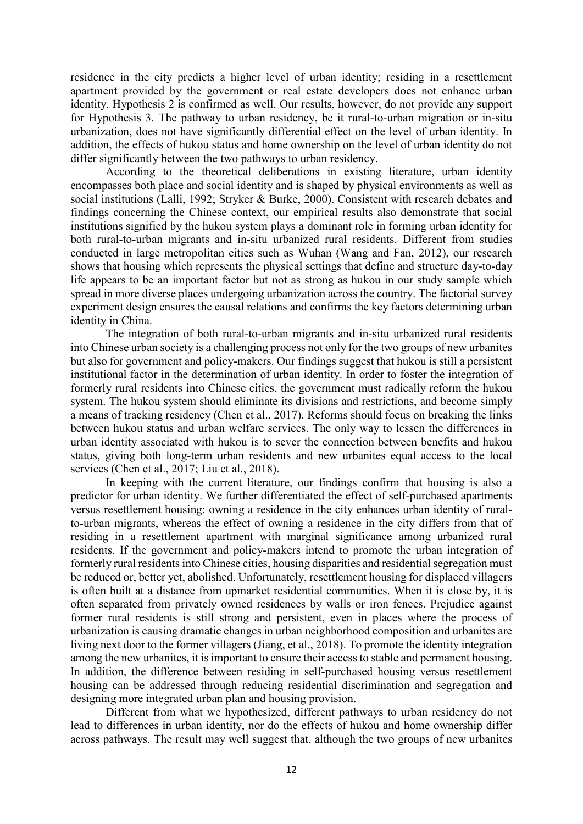residence in the city predicts a higher level of urban identity; residing in a resettlement apartment provided by the government or real estate developers does not enhance urban identity. Hypothesis 2 is confirmed as well. Our results, however, do not provide any support for Hypothesis 3. The pathway to urban residency, be it rural-to-urban migration or in-situ urbanization, does not have significantly differential effect on the level of urban identity. In addition, the effects of hukou status and home ownership on the level of urban identity do not differ significantly between the two pathways to urban residency.

According to the theoretical deliberations in existing literature, urban identity encompasses both place and social identity and is shaped by physical environments as well as social institutions (Lalli, 1992; Stryker & Burke, 2000). Consistent with research debates and findings concerning the Chinese context, our empirical results also demonstrate that social institutions signified by the hukou system plays a dominant role in forming urban identity for both rural-to-urban migrants and in-situ urbanized rural residents. Different from studies conducted in large metropolitan cities such as Wuhan (Wang and Fan, 2012), our research shows that housing which represents the physical settings that define and structure day-to-day life appears to be an important factor but not as strong as hukou in our study sample which spread in more diverse places undergoing urbanization across the country. The factorial survey experiment design ensures the causal relations and confirms the key factors determining urban identity in China.

The integration of both rural-to-urban migrants and in-situ urbanized rural residents into Chinese urban society is a challenging process not only for the two groups of new urbanites but also for government and policy-makers. Our findings suggest that hukou is still a persistent institutional factor in the determination of urban identity. In order to foster the integration of formerly rural residents into Chinese cities, the government must radically reform the hukou system. The hukou system should eliminate its divisions and restrictions, and become simply a means of tracking residency (Chen et al., 2017). Reforms should focus on breaking the links between hukou status and urban welfare services. The only way to lessen the differences in urban identity associated with hukou is to sever the connection between benefits and hukou status, giving both long-term urban residents and new urbanites equal access to the local services (Chen et al., 2017; Liu et al., 2018).

In keeping with the current literature, our findings confirm that housing is also a predictor for urban identity. We further differentiated the effect of self-purchased apartments versus resettlement housing: owning a residence in the city enhances urban identity of ruralto-urban migrants, whereas the effect of owning a residence in the city differs from that of residing in a resettlement apartment with marginal significance among urbanized rural residents. If the government and policy-makers intend to promote the urban integration of formerly rural residents into Chinese cities, housing disparities and residential segregation must be reduced or, better yet, abolished. Unfortunately, resettlement housing for displaced villagers is often built at a distance from upmarket residential communities. When it is close by, it is often separated from privately owned residences by walls or iron fences. Prejudice against former rural residents is still strong and persistent, even in places where the process of urbanization is causing dramatic changes in urban neighborhood composition and urbanites are living next door to the former villagers (Jiang, et al., 2018). To promote the identity integration among the new urbanites, it is important to ensure their access to stable and permanent housing. In addition, the difference between residing in self-purchased housing versus resettlement housing can be addressed through reducing residential discrimination and segregation and designing more integrated urban plan and housing provision.

Different from what we hypothesized, different pathways to urban residency do not lead to differences in urban identity, nor do the effects of hukou and home ownership differ across pathways. The result may well suggest that, although the two groups of new urbanites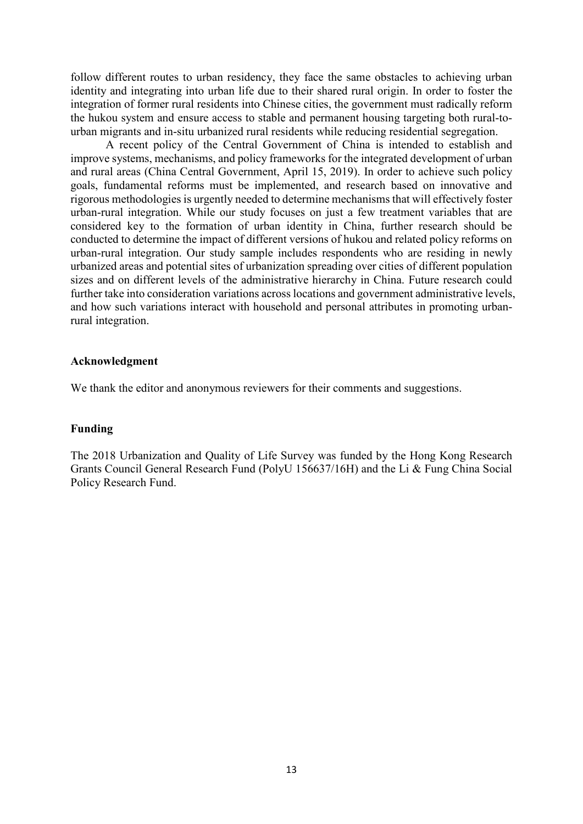follow different routes to urban residency, they face the same obstacles to achieving urban identity and integrating into urban life due to their shared rural origin. In order to foster the integration of former rural residents into Chinese cities, the government must radically reform the hukou system and ensure access to stable and permanent housing targeting both rural-tourban migrants and in-situ urbanized rural residents while reducing residential segregation.

A recent policy of the Central Government of China is intended to establish and improve systems, mechanisms, and policy frameworks for the integrated development of urban and rural areas (China Central Government, April 15, 2019). In order to achieve such policy goals, fundamental reforms must be implemented, and research based on innovative and rigorous methodologies is urgently needed to determine mechanisms that will effectively foster urban-rural integration. While our study focuses on just a few treatment variables that are considered key to the formation of urban identity in China, further research should be conducted to determine the impact of different versions of hukou and related policy reforms on urban-rural integration. Our study sample includes respondents who are residing in newly urbanized areas and potential sites of urbanization spreading over cities of different population sizes and on different levels of the administrative hierarchy in China. Future research could further take into consideration variations across locations and government administrative levels, and how such variations interact with household and personal attributes in promoting urbanrural integration.

## **Acknowledgment**

We thank the editor and anonymous reviewers for their comments and suggestions.

# **Funding**

The 2018 Urbanization and Quality of Life Survey was funded by the Hong Kong Research Grants Council General Research Fund (PolyU 156637/16H) and the Li & Fung China Social Policy Research Fund.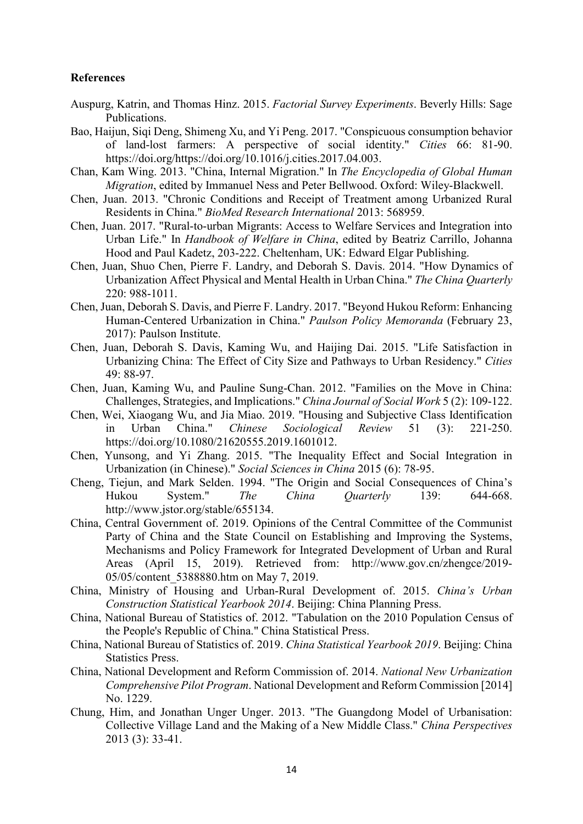# **References**

- Auspurg, Katrin, and Thomas Hinz. 2015. *Factorial Survey Experiments*. Beverly Hills: Sage Publications.
- Bao, Haijun, Siqi Deng, Shimeng Xu, and Yi Peng. 2017. "Conspicuous consumption behavior of land-lost farmers: A perspective of social identity." *Cities* 66: 81-90. https://doi.org/https://doi.org/10.1016/j.cities.2017.04.003.
- Chan, Kam Wing. 2013. "China, Internal Migration." In *The Encyclopedia of Global Human Migration*, edited by Immanuel Ness and Peter Bellwood. Oxford: Wiley-Blackwell.
- Chen, Juan. 2013. "Chronic Conditions and Receipt of Treatment among Urbanized Rural Residents in China." *BioMed Research International* 2013: 568959.
- Chen, Juan. 2017. "Rural-to-urban Migrants: Access to Welfare Services and Integration into Urban Life." In *Handbook of Welfare in China*, edited by Beatriz Carrillo, Johanna Hood and Paul Kadetz, 203-222. Cheltenham, UK: Edward Elgar Publishing.
- Chen, Juan, Shuo Chen, Pierre F. Landry, and Deborah S. Davis. 2014. "How Dynamics of Urbanization Affect Physical and Mental Health in Urban China." *The China Quarterly* 220: 988-1011.
- Chen, Juan, Deborah S. Davis, and Pierre F. Landry. 2017. "Beyond Hukou Reform: Enhancing Human-Centered Urbanization in China." *Paulson Policy Memoranda* (February 23, 2017): Paulson Institute.
- Chen, Juan, Deborah S. Davis, Kaming Wu, and Haijing Dai. 2015. "Life Satisfaction in Urbanizing China: The Effect of City Size and Pathways to Urban Residency." *Cities* 49: 88-97.
- Chen, Juan, Kaming Wu, and Pauline Sung-Chan. 2012. "Families on the Move in China: Challenges, Strategies, and Implications." *China Journal of Social Work* 5 (2): 109-122.
- Chen, Wei, Xiaogang Wu, and Jia Miao. 2019. "Housing and Subjective Class Identification in Urban China." *Chinese Sociological Review* 51 (3): 221-250. https://doi.org/10.1080/21620555.2019.1601012.
- Chen, Yunsong, and Yi Zhang. 2015. "The Inequality Effect and Social Integration in Urbanization (in Chinese)." *Social Sciences in China* 2015 (6): 78-95.
- Cheng, Tiejun, and Mark Selden. 1994. "The Origin and Social Consequences of China's Hukou System." *The China Quarterly* 139: 644-668. http://www.jstor.org/stable/655134.
- China, Central Government of. 2019. Opinions of the Central Committee of the Communist Party of China and the State Council on Establishing and Improving the Systems, Mechanisms and Policy Framework for Integrated Development of Urban and Rural Areas (April 15, 2019). Retrieved from: http://www.gov.cn/zhengce/2019- 05/05/content\_5388880.htm on May 7, 2019.
- China, Ministry of Housing and Urban-Rural Development of. 2015. *China's Urban Construction Statistical Yearbook 2014*. Beijing: China Planning Press.
- China, National Bureau of Statistics of. 2012. "Tabulation on the 2010 Population Census of the People's Republic of China." China Statistical Press.
- China, National Bureau of Statistics of. 2019. *China Statistical Yearbook 2019*. Beijing: China Statistics Press.
- China, National Development and Reform Commission of. 2014. *National New Urbanization Comprehensive Pilot Program*. National Development and Reform Commission [2014] No. 1229.
- Chung, Him, and Jonathan Unger Unger. 2013. "The Guangdong Model of Urbanisation: Collective Village Land and the Making of a New Middle Class." *China Perspectives* 2013 (3): 33-41.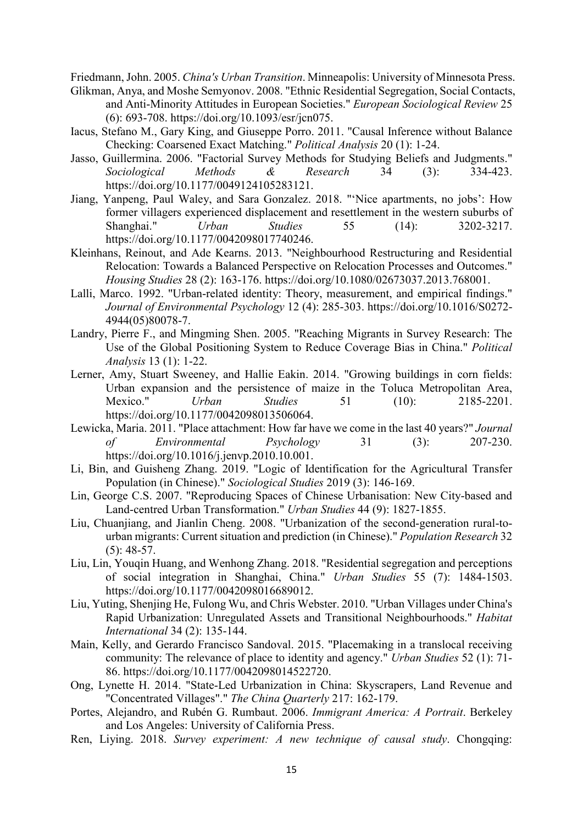Friedmann, John. 2005. *China's Urban Transition*. Minneapolis: University of Minnesota Press.

- Glikman, Anya, and Moshe Semyonov. 2008. "Ethnic Residential Segregation, Social Contacts, and Anti-Minority Attitudes in European Societies." *European Sociological Review* 25 (6): 693-708. https://doi.org/10.1093/esr/jcn075.
- Iacus, Stefano M., Gary King, and Giuseppe Porro. 2011. "Causal Inference without Balance Checking: Coarsened Exact Matching." *Political Analysis* 20 (1): 1-24.
- Jasso, Guillermina. 2006. "Factorial Survey Methods for Studying Beliefs and Judgments." *Sociological Methods & Research* 34 (3): 334-423. https://doi.org/10.1177/0049124105283121.
- Jiang, Yanpeng, Paul Waley, and Sara Gonzalez. 2018. "'Nice apartments, no jobs': How former villagers experienced displacement and resettlement in the western suburbs of Shanghai." *Urban Studies* 55 (14): 3202-3217. https://doi.org/10.1177/0042098017740246.
- Kleinhans, Reinout, and Ade Kearns. 2013. "Neighbourhood Restructuring and Residential Relocation: Towards a Balanced Perspective on Relocation Processes and Outcomes." *Housing Studies* 28 (2): 163-176. https://doi.org/10.1080/02673037.2013.768001.
- Lalli, Marco. 1992. "Urban-related identity: Theory, measurement, and empirical findings." *Journal of Environmental Psychology* 12 (4): 285-303. https://doi.org/10.1016/S0272- 4944(05)80078-7.
- Landry, Pierre F., and Mingming Shen. 2005. "Reaching Migrants in Survey Research: The Use of the Global Positioning System to Reduce Coverage Bias in China." *Political Analysis* 13 (1): 1-22.
- Lerner, Amy, Stuart Sweeney, and Hallie Eakin. 2014. "Growing buildings in corn fields: Urban expansion and the persistence of maize in the Toluca Metropolitan Area, Mexico." *Urban Studies* 51 (10): 2185-2201. https://doi.org/10.1177/0042098013506064.
- Lewicka, Maria. 2011. "Place attachment: How far have we come in the last 40 years?" *Journal of Environmental Psychology* 31 (3): 207-230. https://doi.org/10.1016/j.jenvp.2010.10.001.
- Li, Bin, and Guisheng Zhang. 2019. "Logic of Identification for the Agricultural Transfer Population (in Chinese)." *Sociological Studies* 2019 (3): 146-169.
- Lin, George C.S. 2007. "Reproducing Spaces of Chinese Urbanisation: New City-based and Land-centred Urban Transformation." *Urban Studies* 44 (9): 1827-1855.
- Liu, Chuanjiang, and Jianlin Cheng. 2008. "Urbanization of the second-generation rural-tourban migrants: Current situation and prediction (in Chinese)." *Population Research* 32 (5): 48-57.
- Liu, Lin, Youqin Huang, and Wenhong Zhang. 2018. "Residential segregation and perceptions of social integration in Shanghai, China." *Urban Studies* 55 (7): 1484-1503. https://doi.org/10.1177/0042098016689012.
- Liu, Yuting, Shenjing He, Fulong Wu, and Chris Webster. 2010. "Urban Villages under China's Rapid Urbanization: Unregulated Assets and Transitional Neighbourhoods." *Habitat International* 34 (2): 135-144.
- Main, Kelly, and Gerardo Francisco Sandoval. 2015. "Placemaking in a translocal receiving community: The relevance of place to identity and agency." *Urban Studies* 52 (1): 71- 86. https://doi.org/10.1177/0042098014522720.
- Ong, Lynette H. 2014. "State-Led Urbanization in China: Skyscrapers, Land Revenue and "Concentrated Villages"." *The China Quarterly* 217: 162-179.
- Portes, Alejandro, and Rubén G. Rumbaut. 2006. *Immigrant America: A Portrait*. Berkeley and Los Angeles: University of California Press.
- Ren, Liying. 2018. *Survey experiment: A new technique of causal study*. Chongqing: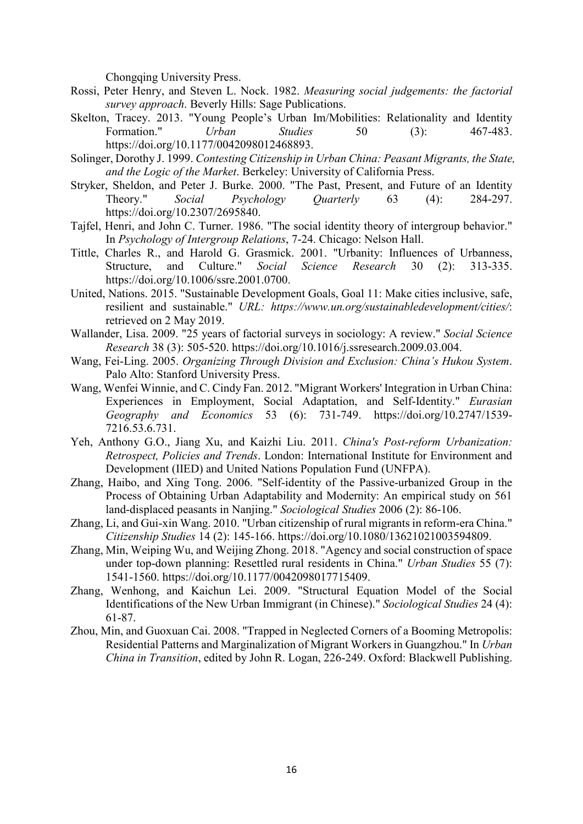Chongqing University Press.

- Rossi, Peter Henry, and Steven L. Nock. 1982. *Measuring social judgements: the factorial survey approach*. Beverly Hills: Sage Publications.
- Skelton, Tracey. 2013. "Young People's Urban Im/Mobilities: Relationality and Identity Formation." *Urban Studies* 50 (3): 467-483. https://doi.org/10.1177/0042098012468893.
- Solinger, Dorothy J. 1999. *Contesting Citizenship in Urban China: Peasant Migrants, the State, and the Logic of the Market*. Berkeley: University of California Press.
- Stryker, Sheldon, and Peter J. Burke. 2000. "The Past, Present, and Future of an Identity Theory." *Social Psychology Quarterly* 63 (4): 284-297. https://doi.org/10.2307/2695840.
- Tajfel, Henri, and John C. Turner. 1986. "The social identity theory of intergroup behavior." In *Psychology of Intergroup Relations*, 7-24. Chicago: Nelson Hall.
- Tittle, Charles R., and Harold G. Grasmick. 2001. "Urbanity: Influences of Urbanness, Structure, and Culture." *Social Science Research* 30 (2): 313-335. https://doi.org/10.1006/ssre.2001.0700.
- United, Nations. 2015. "Sustainable Development Goals, Goal 11: Make cities inclusive, safe, resilient and sustainable." *URL: https://www.un.org/sustainabledevelopment/cities/*: retrieved on 2 May 2019.
- Wallander, Lisa. 2009. "25 years of factorial surveys in sociology: A review." *Social Science Research* 38 (3): 505-520. https://doi.org/10.1016/j.ssresearch.2009.03.004.
- Wang, Fei-Ling. 2005. *Organizing Through Division and Exclusion: China's Hukou System*. Palo Alto: Stanford University Press.
- Wang, Wenfei Winnie, and C. Cindy Fan. 2012. "Migrant Workers' Integration in Urban China: Experiences in Employment, Social Adaptation, and Self-Identity." *Eurasian Geography and Economics* 53 (6): 731-749. https://doi.org/10.2747/1539- 7216.53.6.731.
- Yeh, Anthony G.O., Jiang Xu, and Kaizhi Liu. 2011. *China's Post-reform Urbanization: Retrospect, Policies and Trends*. London: International Institute for Environment and Development (IIED) and United Nations Population Fund (UNFPA).
- Zhang, Haibo, and Xing Tong. 2006. "Self-identity of the Passive-urbanized Group in the Process of Obtaining Urban Adaptability and Modernity: An empirical study on 561 land-displaced peasants in Nanjing." *Sociological Studies* 2006 (2): 86-106.
- Zhang, Li, and Gui-xin Wang. 2010. "Urban citizenship of rural migrants in reform-era China." *Citizenship Studies* 14 (2): 145-166. https://doi.org/10.1080/13621021003594809.
- Zhang, Min, Weiping Wu, and Weijing Zhong. 2018. "Agency and social construction of space under top-down planning: Resettled rural residents in China." *Urban Studies* 55 (7): 1541-1560. https://doi.org/10.1177/0042098017715409.
- Zhang, Wenhong, and Kaichun Lei. 2009. "Structural Equation Model of the Social Identifications of the New Urban Immigrant (in Chinese)." *Sociological Studies* 24 (4): 61-87.
- Zhou, Min, and Guoxuan Cai. 2008. "Trapped in Neglected Corners of a Booming Metropolis: Residential Patterns and Marginalization of Migrant Workers in Guangzhou." In *Urban China in Transition*, edited by John R. Logan, 226-249. Oxford: Blackwell Publishing.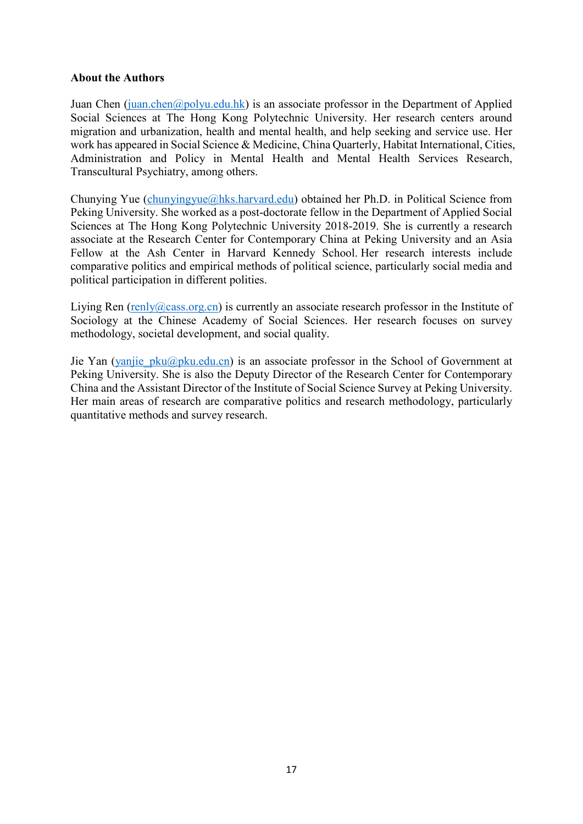# **About the Authors**

Juan Chen [\(juan.chen@polyu.edu.hk\)](mailto:juan.chen@polyu.edu.hk) is an associate professor in the Department of Applied Social Sciences at The Hong Kong Polytechnic University. Her research centers around migration and urbanization, health and mental health, and help seeking and service use. Her work has appeared in Social Science & Medicine, China Quarterly, Habitat International, Cities, Administration and Policy in Mental Health and Mental Health Services Research, Transcultural Psychiatry, among others.

Chunying Yue [\(chunyingyue@hks.harvard.edu\)](mailto:chunyingyue@hks.harvard.edu) obtained her Ph.D. in Political Science from Peking University. She worked as a post-doctorate fellow in the Department of Applied Social Sciences at The Hong Kong Polytechnic University 2018-2019. She is currently a research associate at the Research Center for Contemporary China at Peking University and an Asia Fellow at the Ash Center in Harvard Kennedy School. Her research interests include comparative politics and empirical methods of political science, particularly social media and political participation in different polities.

Liying Ren  $(\text{renly@cass.org.cn})$  is currently an associate research professor in the Institute of Sociology at the Chinese Academy of Social Sciences. Her research focuses on survey methodology, societal development, and social quality.

Jie Yan (yanjie pku@pku.edu.cn) is an associate professor in the School of Government at Peking University. She is also the Deputy Director of the Research Center for Contemporary China and the Assistant Director of the Institute of Social Science Survey at Peking University. Her main areas of research are comparative politics and research methodology, particularly quantitative methods and survey research.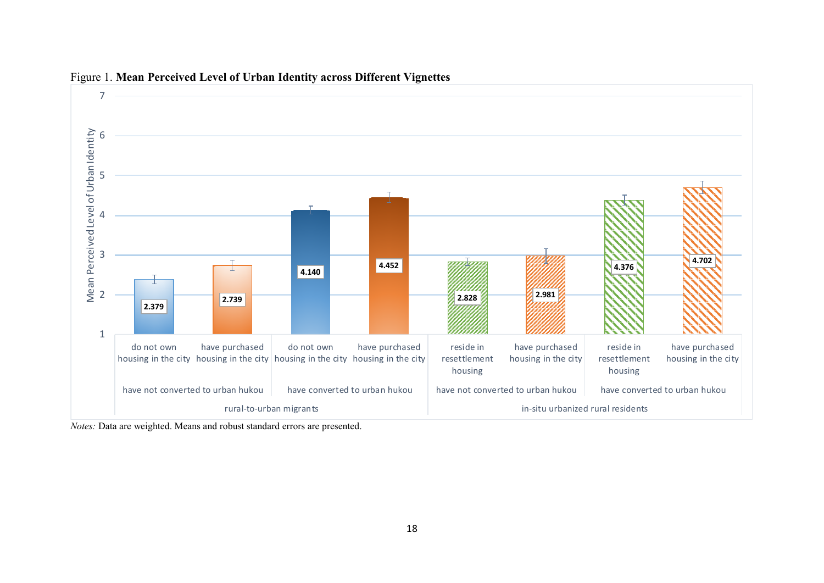

## Figure 1. **Mean Perceived Level of Urban Identity across Different Vignettes**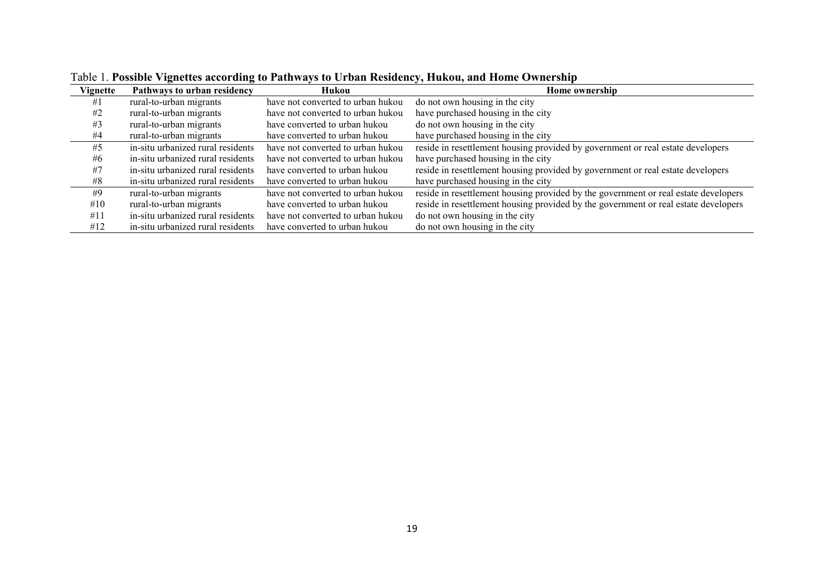| Vignette | Pathways to urban residency       | Hukou                             | <b>Home ownership</b>                                                               |
|----------|-----------------------------------|-----------------------------------|-------------------------------------------------------------------------------------|
| #1       | rural-to-urban migrants           | have not converted to urban hukou | do not own housing in the city                                                      |
| #2       | rural-to-urban migrants           | have not converted to urban hukou | have purchased housing in the city                                                  |
| #3       | rural-to-urban migrants           | have converted to urban hukou     | do not own housing in the city                                                      |
| #4       | rural-to-urban migrants           | have converted to urban hukou     | have purchased housing in the city                                                  |
| #5       | in-situ urbanized rural residents | have not converted to urban hukou | reside in resettlement housing provided by government or real estate developers     |
| #6       | in-situ urbanized rural residents | have not converted to urban hukou | have purchased housing in the city                                                  |
| #7       | in-situ urbanized rural residents | have converted to urban hukou     | reside in resettlement housing provided by government or real estate developers     |
| #8       | in-situ urbanized rural residents | have converted to urban hukou     | have purchased housing in the city                                                  |
| #9       | rural-to-urban migrants           | have not converted to urban hukou | reside in resettlement housing provided by the government or real estate developers |
| #10      | rural-to-urban migrants           | have converted to urban hukou     | reside in resettlement housing provided by the government or real estate developers |
| #11      | in-situ urbanized rural residents | have not converted to urban hukou | do not own housing in the city                                                      |
| #12      | in-situ urbanized rural residents | have converted to urban hukou     | do not own housing in the city                                                      |

Table 1. **Possible Vignettes according to Pathways to Urban Residency, Hukou, and Home Ownership**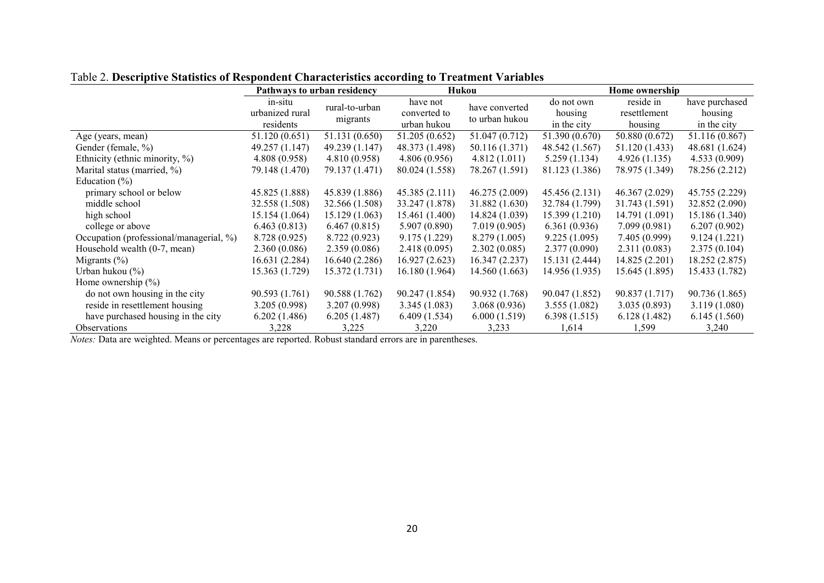|                                         | Pathways to urban residency |                |                | Hukou          | Home ownership |                |                |
|-----------------------------------------|-----------------------------|----------------|----------------|----------------|----------------|----------------|----------------|
|                                         | in-situ                     | rural-to-urban | have not       | have converted | do not own     | reside in      | have purchased |
|                                         | urbanized rural             |                | converted to   | to urban hukou | housing        | resettlement   | housing        |
|                                         | residents                   | migrants       | urban hukou    |                | in the city    | housing        | in the city    |
| Age (years, mean)                       | 51.120 (0.651)              | 51.131 (0.650) | 51.205 (0.652) | 51.047 (0.712) | 51.390 (0.670) | 50.880 (0.672) | 51.116 (0.867) |
| Gender (female, %)                      | 49.257 (1.147)              | 49.239 (1.147) | 48.373 (1.498) | 50.116 (1.371) | 48.542 (1.567) | 51.120 (1.433) | 48.681 (1.624) |
| Ethnicity (ethnic minority, %)          | 4.808(0.958)                | 4.810(0.958)   | 4.806(0.956)   | 4.812(1.011)   | 5.259(1.134)   | 4.926(1.135)   | 4.533(0.909)   |
| Marital status (married, %)             | 79.148 (1.470)              | 79.137 (1.471) | 80.024 (1.558) | 78.267 (1.591) | 81.123 (1.386) | 78.975 (1.349) | 78.256 (2.212) |
| Education $(\% )$                       |                             |                |                |                |                |                |                |
| primary school or below                 | 45.825 (1.888)              | 45.839 (1.886) | 45.385(2.111)  | 46.275 (2.009) | 45.456 (2.131) | 46.367 (2.029) | 45.755 (2.229) |
| middle school                           | 32.558 (1.508)              | 32.566 (1.508) | 33.247 (1.878) | 31.882 (1.630) | 32.784 (1.799) | 31.743 (1.591) | 32.852 (2.090) |
| high school                             | 15.154(1.064)               | 15.129(1.063)  | 15.461 (1.400) | 14.824 (1.039) | 15.399 (1.210) | 14.791 (1.091) | 15.186 (1.340) |
| college or above                        | 6.463(0.813)                | 6.467(0.815)   | 5.907(0.890)   | 7.019(0.905)   | 6.361(0.936)   | 7.099(0.981)   | 6.207(0.902)   |
| Occupation (professional/managerial, %) | 8.728 (0.925)               | 8.722 (0.923)  | 9.175 (1.229)  | 8.279(1.005)   | 9.225(1.095)   | 7.405 (0.999)  | 9.124(1.221)   |
| Household wealth (0-7, mean)            | 2.360(0.086)                | 2.359(0.086)   | 2.418(0.095)   | 2.302(0.085)   | 2.377(0.090)   | 2.311(0.083)   | 2.375(0.104)   |
| Migrants $(\% )$                        | 16.631 (2.284)              | 16.640 (2.286) | 16.927(2.623)  | 16.347 (2.237) | 15.131 (2.444) | 14.825 (2.201) | 18.252 (2.875) |
| Urban hukou $(\% )$                     | 15.363 (1.729)              | 15.372 (1.731) | 16.180 (1.964) | 14.560 (1.663) | 14.956 (1.935) | 15.645 (1.895) | 15.433 (1.782) |
| Home ownership $(\% )$                  |                             |                |                |                |                |                |                |
| do not own housing in the city          | 90.593 (1.761)              | 90.588 (1.762) | 90.247 (1.854) | 90.932 (1.768) | 90.047 (1.852) | 90.837 (1.717) | 90.736 (1.865) |
| reside in resettlement housing          | 3.205 (0.998)               | 3.207(0.998)   | 3.345(1.083)   | 3.068(0.936)   | 3.555(1.082)   | 3.035(0.893)   | 3.119(1.080)   |
| have purchased housing in the city      | 6.202(1.486)                | 6.205(1.487)   | 6.409(1.534)   | 6.000(1.519)   | 6.398(1.515)   | 6.128(1.482)   | 6.145(1.560)   |
| Observations                            | 3,228                       | 3,225          | 3,220          | 3,233          | 1,614          | 1,599          | 3,240          |

Table 2. **Descriptive Statistics of Respondent Characteristics according to Treatment Variables**

*Notes:* Data are weighted. Means or percentages are reported. Robust standard errors are in parentheses.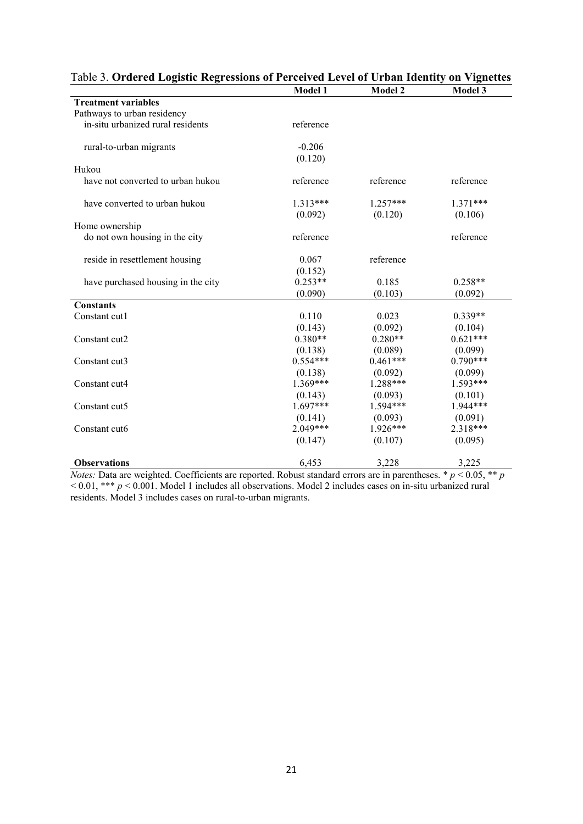|                                    | <b>Model 1</b> | <b>Model 2</b> | <b>Model 3</b> |
|------------------------------------|----------------|----------------|----------------|
| <b>Treatment variables</b>         |                |                |                |
| Pathways to urban residency        |                |                |                |
| in-situ urbanized rural residents  | reference      |                |                |
|                                    |                |                |                |
| rural-to-urban migrants            | $-0.206$       |                |                |
|                                    | (0.120)        |                |                |
| Hukou                              |                |                |                |
| have not converted to urban hukou  | reference      | reference      | reference      |
| have converted to urban hukou      | $1.313***$     | $1.257***$     | $1.371***$     |
|                                    | (0.092)        | (0.120)        | (0.106)        |
| Home ownership                     |                |                |                |
| do not own housing in the city     | reference      |                | reference      |
|                                    |                |                |                |
| reside in resettlement housing     | 0.067          | reference      |                |
|                                    | (0.152)        |                |                |
| have purchased housing in the city | $0.253**$      | 0.185          | $0.258**$      |
|                                    | (0.090)        | (0.103)        | (0.092)        |
| <b>Constants</b>                   |                |                |                |
| Constant cut1                      | 0.110          | 0.023          | $0.339**$      |
|                                    | (0.143)        | (0.092)        | (0.104)        |
| Constant cut2                      | $0.380**$      | $0.280**$      | $0.621***$     |
|                                    | (0.138)        | (0.089)        | (0.099)        |
| Constant cut3                      | $0.554***$     | $0.461***$     | $0.790***$     |
|                                    | (0.138)        | (0.092)        | (0.099)        |
| Constant cut4                      | $1.369***$     | $1.288***$     | $1.593***$     |
|                                    | (0.143)        | (0.093)        | (0.101)        |
| Constant cut5                      | $1.697***$     | 1.594***       | $1.944***$     |
|                                    | (0.141)        | (0.093)        | (0.091)        |
| Constant cut6                      | $2.049***$     | $1.926***$     | 2.318***       |
|                                    | (0.147)        | (0.107)        | (0.095)        |
| <b>Observations</b>                | 6,453          | 3,228          | 3,225          |

Table 3. **Ordered Logistic Regressions of Perceived Level of Urban Identity on Vignettes**

*Notes:* Data are weighted. Coefficients are reported. Robust standard errors are in parentheses. \* *p* < 0.05, \*\* *p* < 0.01, \*\*\* *p* < 0.001. Model 1 includes all observations. Model 2 includes cases on in-situ urbanized rural residents. Model 3 includes cases on rural-to-urban migrants.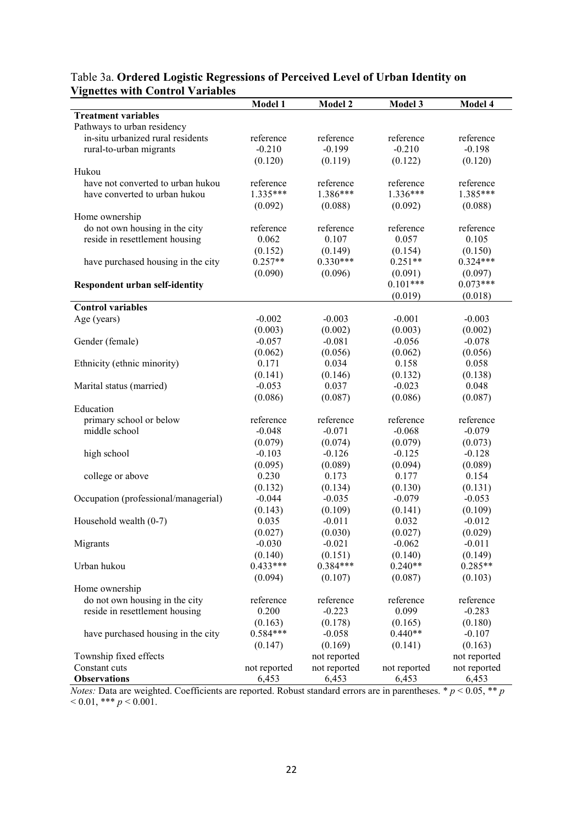|                                       | Model 1      | Model 2      | Model 3      | Model 4      |
|---------------------------------------|--------------|--------------|--------------|--------------|
| <b>Treatment variables</b>            |              |              |              |              |
| Pathways to urban residency           |              |              |              |              |
| in-situ urbanized rural residents     | reference    | reference    | reference    | reference    |
| rural-to-urban migrants               | $-0.210$     | $-0.199$     | $-0.210$     | $-0.198$     |
|                                       | (0.120)      | (0.119)      | (0.122)      | (0.120)      |
| Hukou                                 |              |              |              |              |
| have not converted to urban hukou     | reference    | reference    | reference    | reference    |
| have converted to urban hukou         | $1.335***$   | 1.386***     | $1.336***$   | $1.385***$   |
|                                       | (0.092)      | (0.088)      | (0.092)      | (0.088)      |
| Home ownership                        |              |              |              |              |
| do not own housing in the city        | reference    | reference    | reference    | reference    |
| reside in resettlement housing        | 0.062        | 0.107        | 0.057        | 0.105        |
|                                       | (0.152)      | (0.149)      | (0.154)      | (0.150)      |
| have purchased housing in the city    | $0.257**$    | $0.330***$   | $0.251**$    | $0.324***$   |
|                                       | (0.090)      | (0.096)      | (0.091)      | (0.097)      |
| <b>Respondent urban self-identity</b> |              |              | $0.101***$   | $0.073***$   |
|                                       |              |              | (0.019)      | (0.018)      |
| <b>Control variables</b>              |              |              |              |              |
| Age (years)                           | $-0.002$     | $-0.003$     | $-0.001$     | $-0.003$     |
|                                       | (0.003)      | (0.002)      | (0.003)      | (0.002)      |
| Gender (female)                       | $-0.057$     | $-0.081$     | $-0.056$     | $-0.078$     |
|                                       | (0.062)      | (0.056)      | (0.062)      | (0.056)      |
| Ethnicity (ethnic minority)           | 0.171        | 0.034        | 0.158        | 0.058        |
|                                       | (0.141)      | (0.146)      | (0.132)      | (0.138)      |
| Marital status (married)              | $-0.053$     | 0.037        | $-0.023$     | 0.048        |
|                                       | (0.086)      | (0.087)      | (0.086)      | (0.087)      |
| Education                             |              |              |              |              |
| primary school or below               | reference    | reference    | reference    | reference    |
| middle school                         | $-0.048$     | $-0.071$     | $-0.068$     | $-0.079$     |
|                                       | (0.079)      | (0.074)      | (0.079)      | (0.073)      |
| high school                           | $-0.103$     | $-0.126$     | $-0.125$     | $-0.128$     |
|                                       | (0.095)      | (0.089)      | (0.094)      | (0.089)      |
| college or above                      | 0.230        | 0.173        | 0.177        | 0.154        |
|                                       | (0.132)      | (0.134)      | (0.130)      | (0.131)      |
| Occupation (professional/managerial)  | $-0.044$     | $-0.035$     | $-0.079$     | $-0.053$     |
|                                       | (0.143)      | (0.109)      | (0.141)      | (0.109)      |
| Household wealth (0-7)                | 0.035        | $-0.011$     | 0.032        | $-0.012$     |
|                                       | (0.027)      | (0.030)      | (0.027)      | (0.029)      |
| Migrants                              | $-0.030$     | $-0.021$     | $-0.062$     | $-0.011$     |
|                                       | (0.140)      | (0.151)      | (0.140)      | (0.149)      |
| Urban hukou                           | $0.433***$   | $0.384***$   | $0.240**$    | $0.285**$    |
|                                       | (0.094)      | (0.107)      | (0.087)      | (0.103)      |
| Home ownership                        |              |              |              |              |
| do not own housing in the city        | reference    | reference    | reference    | reference    |
| reside in resettlement housing        | 0.200        | $-0.223$     | 0.099        | $-0.283$     |
|                                       | (0.163)      | (0.178)      | (0.165)      | (0.180)      |
| have purchased housing in the city    | $0.584***$   | $-0.058$     | $0.440**$    | $-0.107$     |
|                                       | (0.147)      | (0.169)      | (0.141)      | (0.163)      |
| Township fixed effects                |              | not reported |              | not reported |
| Constant cuts                         | not reported | not reported | not reported | not reported |
| <b>Observations</b>                   | 6,453        | 6,453        | 6,453        | 6,453        |

# Table 3a. **Ordered Logistic Regressions of Perceived Level of Urban Identity on Vignettes with Control Variables**

*Notes:* Data are weighted. Coefficients are reported. Robust standard errors are in parentheses. \* *p* < 0.05, \*\* *p*  $< 0.01,$  \*\*\*  $p < 0.001$ .